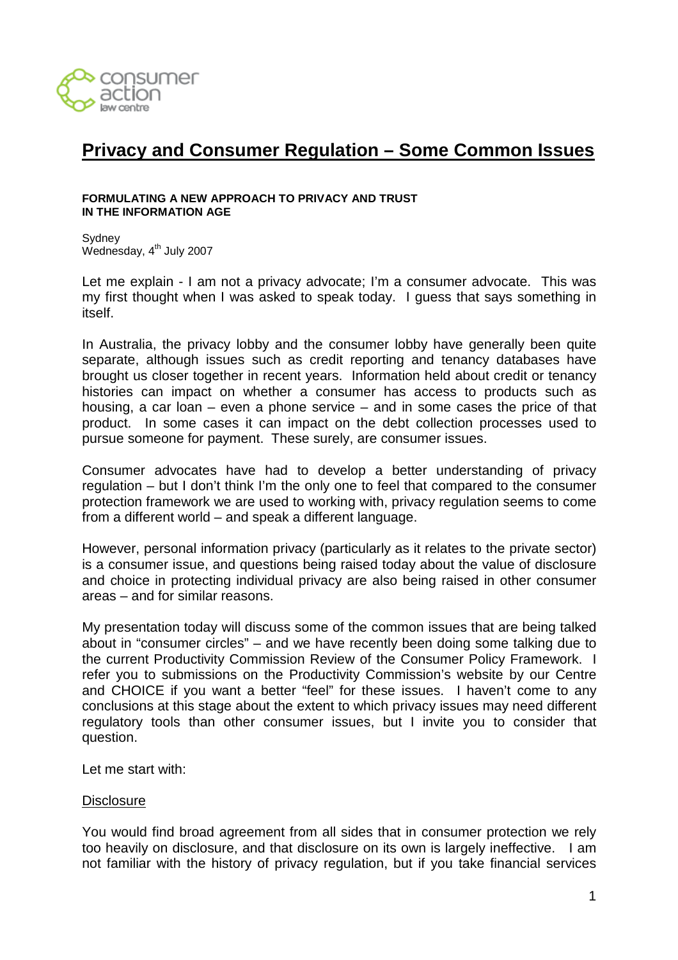

# **Privacy and Consumer Regulation – Some Common Issues**

#### **FORMULATING A NEW APPROACH TO PRIVACY AND TRUST IN THE INFORMATION AGE**

**Sydney**  $W$ ednesday,  $4<sup>th</sup>$  July 2007

Let me explain - I am not a privacy advocate; I'm a consumer advocate. This was my first thought when I was asked to speak today. I guess that says something in itself.

In Australia, the privacy lobby and the consumer lobby have generally been quite separate, although issues such as credit reporting and tenancy databases have brought us closer together in recent years. Information held about credit or tenancy histories can impact on whether a consumer has access to products such as housing, a car loan – even a phone service – and in some cases the price of that product. In some cases it can impact on the debt collection processes used to pursue someone for payment. These surely, are consumer issues.

Consumer advocates have had to develop a better understanding of privacy regulation – but I don't think I'm the only one to feel that compared to the consumer protection framework we are used to working with, privacy regulation seems to come from a different world – and speak a different language.

However, personal information privacy (particularly as it relates to the private sector) is a consumer issue, and questions being raised today about the value of disclosure and choice in protecting individual privacy are also being raised in other consumer areas – and for similar reasons.

My presentation today will discuss some of the common issues that are being talked about in "consumer circles" – and we have recently been doing some talking due to the current Productivity Commission Review of the Consumer Policy Framework. I refer you to submissions on the Productivity Commission's website by our Centre and CHOICE if you want a better "feel" for these issues. I haven't come to any conclusions at this stage about the extent to which privacy issues may need different regulatory tools than other consumer issues, but I invite you to consider that question.

Let me start with:

### **Disclosure**

You would find broad agreement from all sides that in consumer protection we rely too heavily on disclosure, and that disclosure on its own is largely ineffective. I am not familiar with the history of privacy regulation, but if you take financial services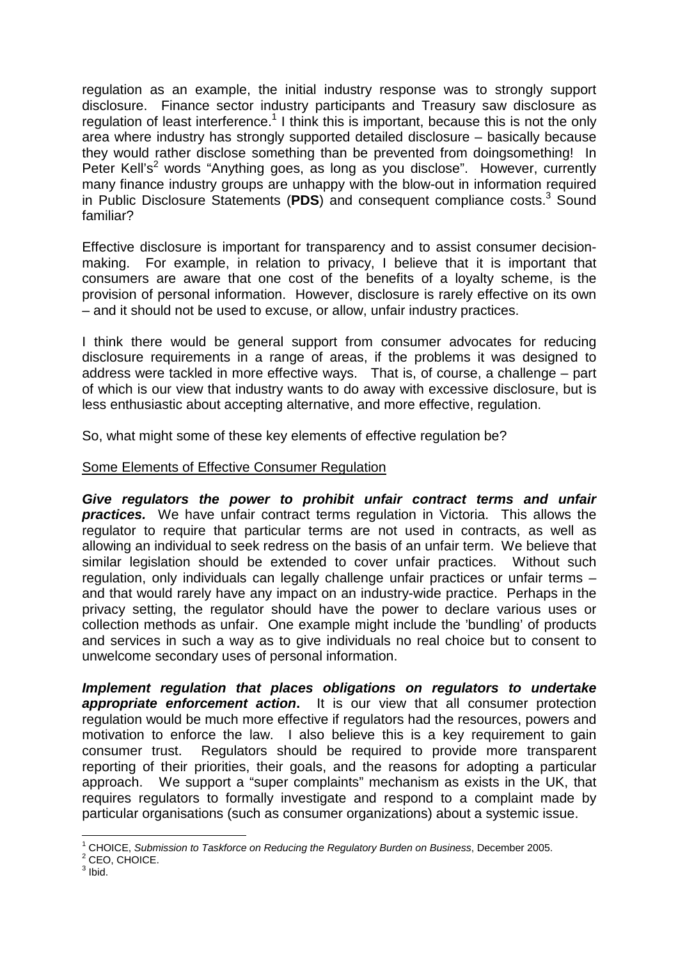regulation as an example, the initial industry response was to strongly support disclosure. Finance sector industry participants and Treasury saw disclosure as regulation of least interference. $1$  I think this is important, because this is not the only area where industry has strongly supported detailed disclosure – basically because they would rather disclose something than be prevented from doingsomething! In Peter Kell's<sup>2</sup> words "Anything goes, as long as you disclose". However, currently many finance industry groups are unhappy with the blow-out in information required in Public Disclosure Statements (PDS) and consequent compliance costs.<sup>3</sup> Sound familiar?

Effective disclosure is important for transparency and to assist consumer decisionmaking. For example, in relation to privacy, I believe that it is important that consumers are aware that one cost of the benefits of a loyalty scheme, is the provision of personal information. However, disclosure is rarely effective on its own – and it should not be used to excuse, or allow, unfair industry practices.

I think there would be general support from consumer advocates for reducing disclosure requirements in a range of areas, if the problems it was designed to address were tackled in more effective ways. That is, of course, a challenge – part of which is our view that industry wants to do away with excessive disclosure, but is less enthusiastic about accepting alternative, and more effective, regulation.

So, what might some of these key elements of effective regulation be?

## Some Elements of Effective Consumer Regulation

**Give regulators the power to prohibit unfair contract terms and unfair practices.** We have unfair contract terms regulation in Victoria. This allows the regulator to require that particular terms are not used in contracts, as well as allowing an individual to seek redress on the basis of an unfair term. We believe that similar legislation should be extended to cover unfair practices. Without such regulation, only individuals can legally challenge unfair practices or unfair terms – and that would rarely have any impact on an industry-wide practice. Perhaps in the privacy setting, the regulator should have the power to declare various uses or collection methods as unfair. One example might include the 'bundling' of products and services in such a way as to give individuals no real choice but to consent to unwelcome secondary uses of personal information.

**Implement regulation that places obligations on regulators to undertake appropriate enforcement action.** It is our view that all consumer protection regulation would be much more effective if regulators had the resources, powers and motivation to enforce the law. I also believe this is a key requirement to gain consumer trust. Regulators should be required to provide more transparent reporting of their priorities, their goals, and the reasons for adopting a particular approach. We support a "super complaints" mechanism as exists in the UK, that requires regulators to formally investigate and respond to a complaint made by particular organisations (such as consumer organizations) about a systemic issue.

 $\overline{a}$ 1 CHOICE, Submission to Taskforce on Reducing the Regulatory Burden on Business, December 2005.

 $2^2$  CEO, CHOICE.

 $3$  lbid.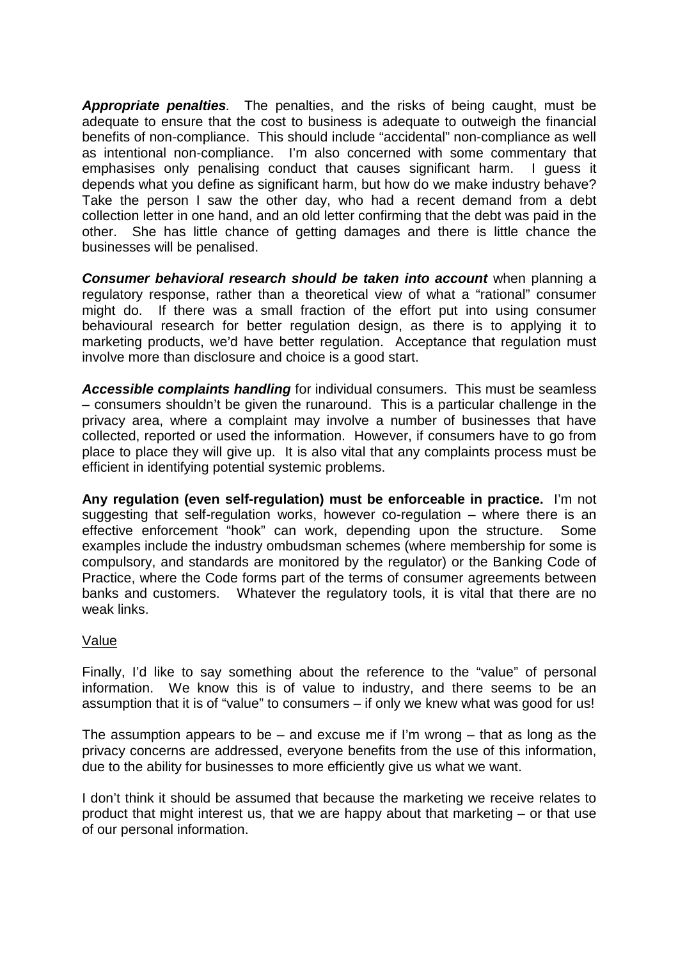**Appropriate penalties**. The penalties, and the risks of being caught, must be adequate to ensure that the cost to business is adequate to outweigh the financial benefits of non-compliance. This should include "accidental" non-compliance as well as intentional non-compliance. I'm also concerned with some commentary that emphasises only penalising conduct that causes significant harm. I guess it depends what you define as significant harm, but how do we make industry behave? Take the person I saw the other day, who had a recent demand from a debt collection letter in one hand, and an old letter confirming that the debt was paid in the other. She has little chance of getting damages and there is little chance the businesses will be penalised.

**Consumer behavioral research should be taken into account** when planning a regulatory response, rather than a theoretical view of what a "rational" consumer might do. If there was a small fraction of the effort put into using consumer behavioural research for better regulation design, as there is to applying it to marketing products, we'd have better regulation. Acceptance that regulation must involve more than disclosure and choice is a good start.

**Accessible complaints handling** for individual consumers. This must be seamless – consumers shouldn't be given the runaround. This is a particular challenge in the privacy area, where a complaint may involve a number of businesses that have collected, reported or used the information. However, if consumers have to go from place to place they will give up. It is also vital that any complaints process must be efficient in identifying potential systemic problems.

**Any regulation (even self-regulation) must be enforceable in practice.** I'm not suggesting that self-regulation works, however co-regulation – where there is an effective enforcement "hook" can work, depending upon the structure. Some examples include the industry ombudsman schemes (where membership for some is compulsory, and standards are monitored by the regulator) or the Banking Code of Practice, where the Code forms part of the terms of consumer agreements between banks and customers. Whatever the regulatory tools, it is vital that there are no weak links.

## Value

Finally, I'd like to say something about the reference to the "value" of personal information. We know this is of value to industry, and there seems to be an assumption that it is of "value" to consumers – if only we knew what was good for us!

The assumption appears to be – and excuse me if I'm wrong – that as long as the privacy concerns are addressed, everyone benefits from the use of this information, due to the ability for businesses to more efficiently give us what we want.

I don't think it should be assumed that because the marketing we receive relates to product that might interest us, that we are happy about that marketing – or that use of our personal information.